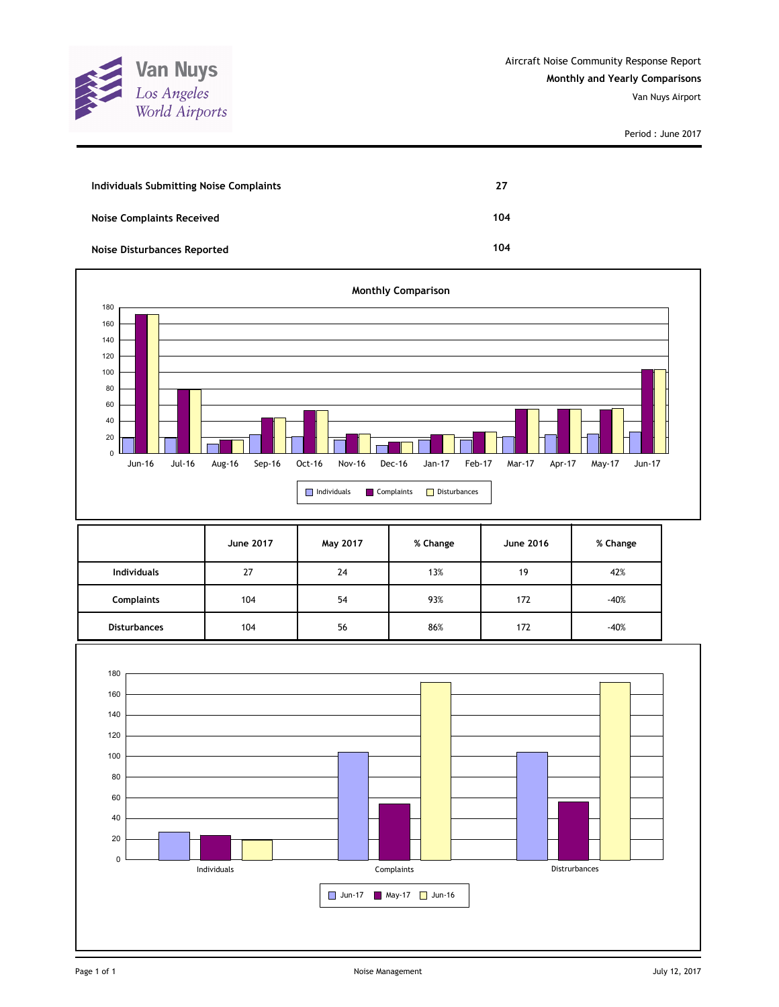

| Individuals Submitting Noise Complaints | 27  |
|-----------------------------------------|-----|
| <b>Noise Complaints Received</b>        | 104 |
| <b>Noise Disturbances Reported</b>      | 104 |



|                     | June 2017 | May 2017 | % Change | <b>June 2016</b> | % Change |
|---------------------|-----------|----------|----------|------------------|----------|
| <b>Individuals</b>  | 27        | 24       | 13%      | 19               | 42%      |
| <b>Complaints</b>   | 104       | 54       | 93%      | 172              | $-40%$   |
| <b>Disturbances</b> | 104       | 56       | 86%      | 172              | $-40%$   |

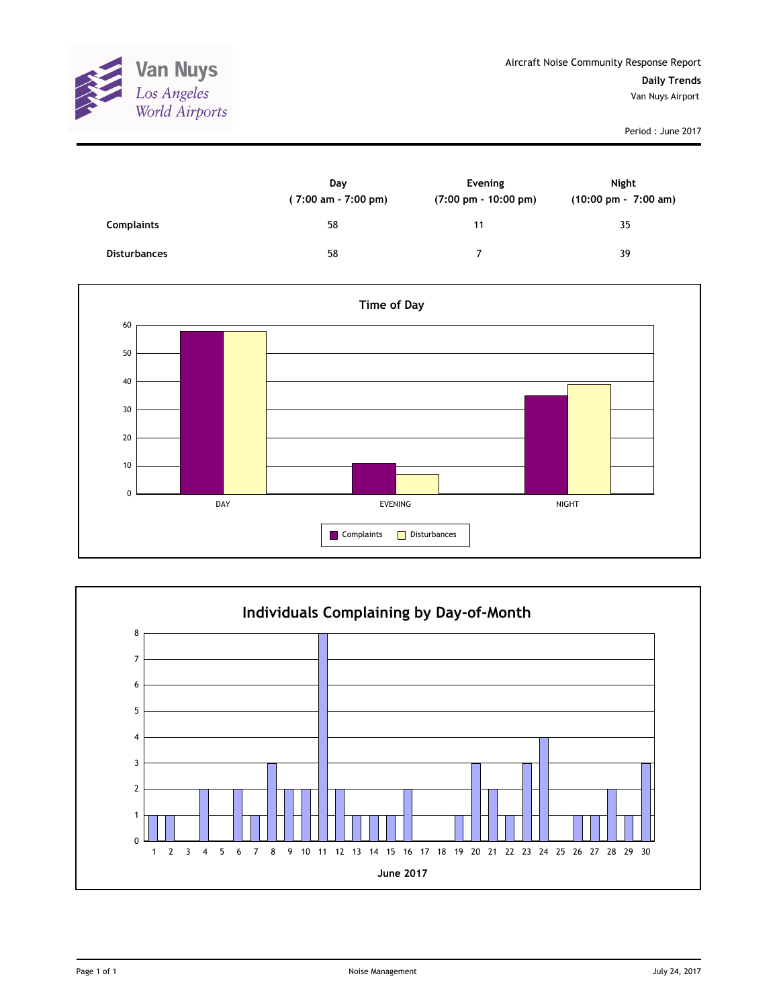

|                     | Day<br>$(7:00 \text{ am} - 7:00 \text{ pm})$ | Evening<br>$(7:00 \text{ pm} - 10:00 \text{ pm})$ | <b>Night</b><br>(10:00 pm - 7:00 am) |
|---------------------|----------------------------------------------|---------------------------------------------------|--------------------------------------|
| <b>Complaints</b>   | 58                                           | 11                                                | 35                                   |
| <b>Disturbances</b> | 58                                           | ⇁                                                 | 39                                   |



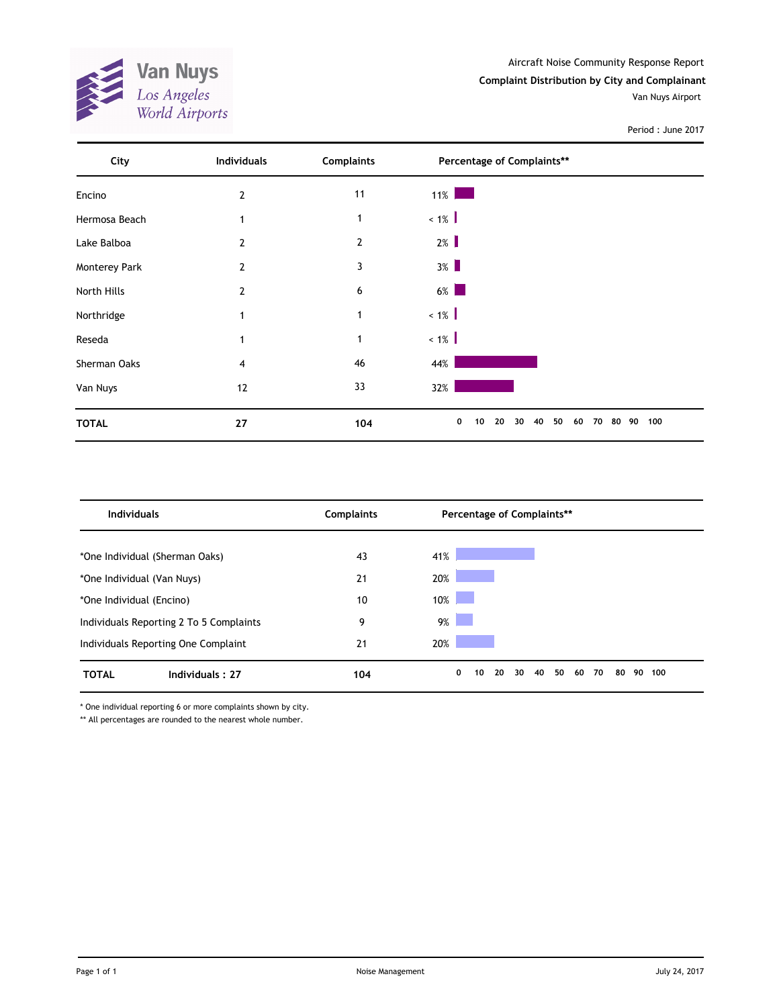

| City          | <b>Individuals</b> | <b>Complaints</b> | Percentage of Complaints**                           |     |
|---------------|--------------------|-------------------|------------------------------------------------------|-----|
| Encino        | 2                  | 11                | $11\%$                                               |     |
| Hermosa Beach | 1                  | $\mathbf 1$       | $~1\%$                                               |     |
| Lake Balboa   | $\overline{2}$     | $\overline{2}$    | $2\%$                                                |     |
| Monterey Park | $\overline{2}$     | 3                 | $3\%$                                                |     |
| North Hills   | 2                  | 6                 | $6\%$                                                |     |
| Northridge    |                    | 1                 | $~1\%$                                               |     |
| Reseda        |                    | 1                 | $~1\%$                                               |     |
| Sherman Oaks  | 4                  | 46                | 44%                                                  |     |
| Van Nuys      | 12                 | 33                | 32%                                                  |     |
| <b>TOTAL</b>  | 27                 | 104               | 0<br>20<br>40<br>50<br>80 90<br>10<br>30<br>60<br>70 | 100 |

| <b>Individuals</b>                      | <b>Complaints</b> | Percentage of Complaints**                        |           |
|-----------------------------------------|-------------------|---------------------------------------------------|-----------|
|                                         |                   |                                                   |           |
| *One Individual (Sherman Oaks)          | 43                | 41%                                               |           |
| *One Individual (Van Nuys)              | 21                | 20%                                               |           |
| *One Individual (Encino)                | 10                | 10%                                               |           |
| Individuals Reporting 2 To 5 Complaints | 9                 | $9\%$                                             |           |
| Individuals Reporting One Complaint     | 21                | 20%                                               |           |
| <b>TOTAL</b><br>Individuals: 27         | 104               | 50<br>40<br>60<br>70<br>80<br>0<br>20<br>30<br>10 | 90<br>100 |

\* One individual reporting 6 or more complaints shown by city.

\*\* All percentages are rounded to the nearest whole number.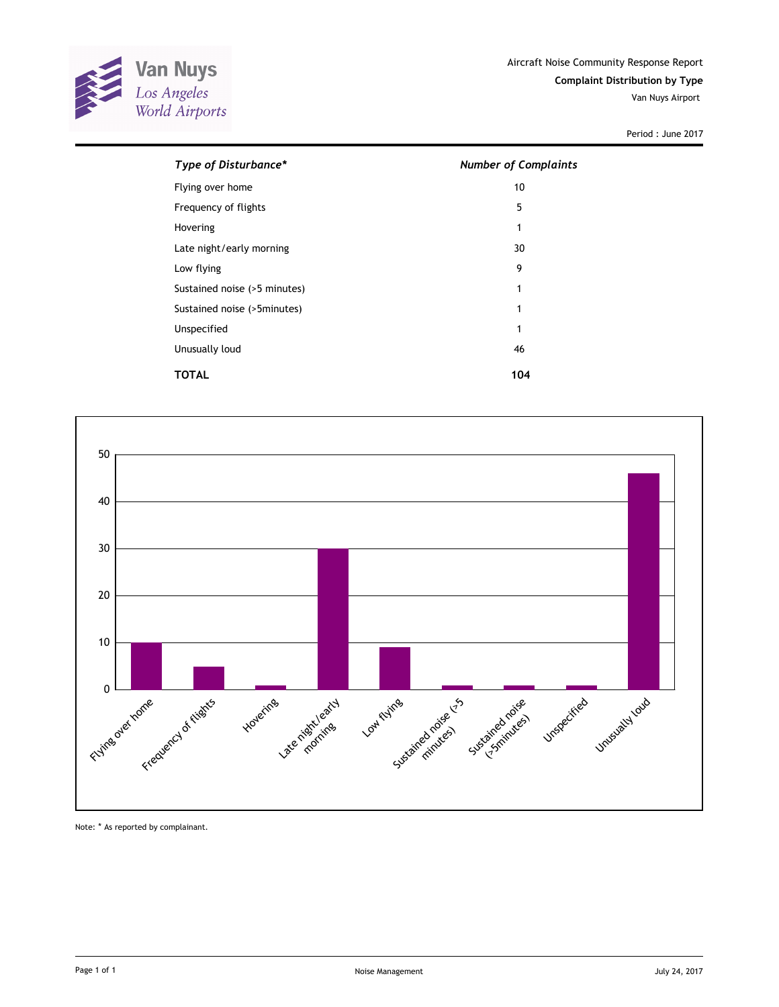

| Type of Disturbance*         | <b>Number of Complaints</b> |
|------------------------------|-----------------------------|
| Flying over home             | 10                          |
| Frequency of flights         | 5                           |
| Hovering                     | 1                           |
| Late night/early morning     | 30                          |
| Low flying                   | 9                           |
| Sustained noise (>5 minutes) | 1                           |
| Sustained noise (>5minutes)  | 1                           |
| Unspecified                  | 1                           |
| Unusually loud               | 46                          |
| TOTAL                        | 104                         |



Note: \* As reported by complainant.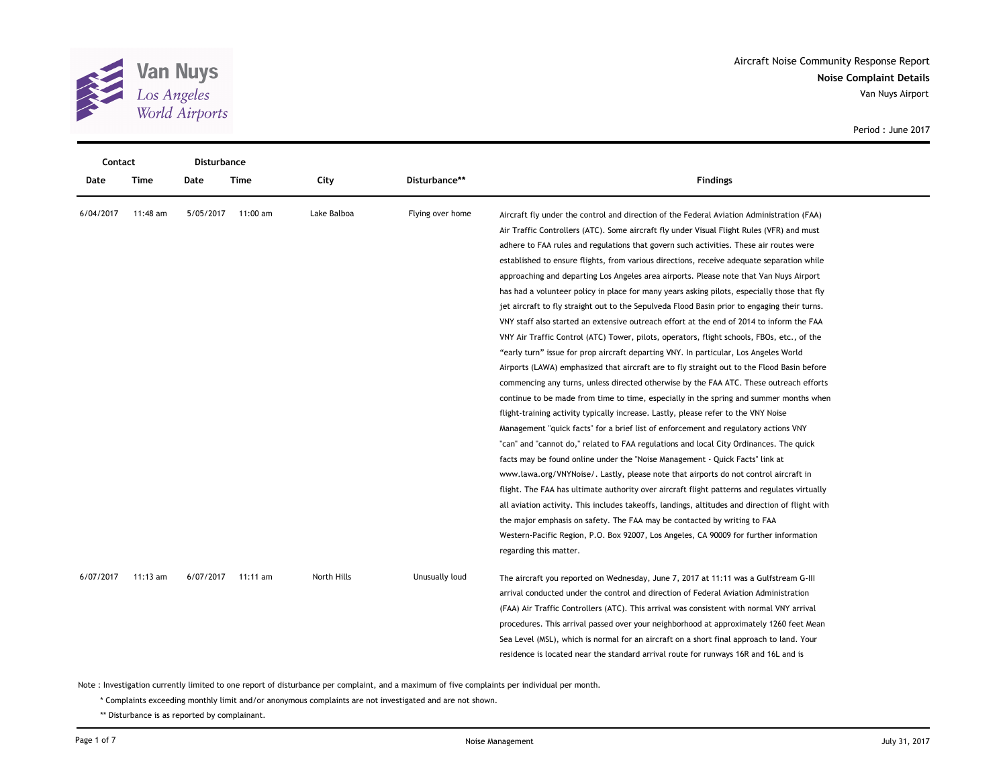

**Noise Complaint Details** Aircraft Noise Community Response Report Van Nuys Airport

|    |                  |                                                                                                                                                                                                                                | Period: June 2017 |
|----|------------------|--------------------------------------------------------------------------------------------------------------------------------------------------------------------------------------------------------------------------------|-------------------|
|    |                  |                                                                                                                                                                                                                                |                   |
|    |                  |                                                                                                                                                                                                                                |                   |
|    | Disturbance**    | <b>Findings</b>                                                                                                                                                                                                                |                   |
|    |                  |                                                                                                                                                                                                                                |                   |
| эà | Flying over home | Aircraft fly under the control and direction of the Federal Aviation Administration (FAA)                                                                                                                                      |                   |
|    |                  | Air Traffic Controllers (ATC). Some aircraft fly under Visual Flight Rules (VFR) and must                                                                                                                                      |                   |
|    |                  | adhere to FAA rules and regulations that govern such activities. These air routes were                                                                                                                                         |                   |
|    |                  | established to ensure flights, from various directions, receive adequate separation while                                                                                                                                      |                   |
|    |                  | approaching and departing Los Angeles area airports. Please note that Van Nuys Airport                                                                                                                                         |                   |
|    |                  | has had a volunteer policy in place for many years asking pilots, especially those that fly                                                                                                                                    |                   |
|    |                  | jet aircraft to fly straight out to the Sepulveda Flood Basin prior to engaging their turns.                                                                                                                                   |                   |
|    |                  | VNY staff also started an extensive outreach effort at the end of 2014 to inform the FAA                                                                                                                                       |                   |
|    |                  | VNY Air Traffic Control (ATC) Tower, pilots, operators, flight schools, FBOs, etc., of the                                                                                                                                     |                   |
|    |                  | $\mu$ . The theory of the state of the state of the state of the state of the state of the state of the state of the state of the state of the state of the state of the state of the state of the state of the state of the s |                   |

| Contact   |            | Disturbance |            |             |                  |                                                                                                 |  |
|-----------|------------|-------------|------------|-------------|------------------|-------------------------------------------------------------------------------------------------|--|
| Date      | Time       | Date        | Time       | City        | Disturbance**    | <b>Findings</b>                                                                                 |  |
| 6/04/2017 | 11:48 am   | 5/05/2017   | 11:00 am   | Lake Balboa | Flying over home | Aircraft fly under the control and direction of the Federal Aviation Administration (FAA)       |  |
|           |            |             |            |             |                  | Air Traffic Controllers (ATC). Some aircraft fly under Visual Flight Rules (VFR) and must       |  |
|           |            |             |            |             |                  | adhere to FAA rules and regulations that govern such activities. These air routes were          |  |
|           |            |             |            |             |                  | established to ensure flights, from various directions, receive adequate separation while       |  |
|           |            |             |            |             |                  | approaching and departing Los Angeles area airports. Please note that Van Nuys Airport          |  |
|           |            |             |            |             |                  | has had a volunteer policy in place for many years asking pilots, especially those that fly     |  |
|           |            |             |            |             |                  | jet aircraft to fly straight out to the Sepulveda Flood Basin prior to engaging their turns.    |  |
|           |            |             |            |             |                  | VNY staff also started an extensive outreach effort at the end of 2014 to inform the FAA        |  |
|           |            |             |            |             |                  | VNY Air Traffic Control (ATC) Tower, pilots, operators, flight schools, FBOs, etc., of the      |  |
|           |            |             |            |             |                  | "early turn" issue for prop aircraft departing VNY. In particular, Los Angeles World            |  |
|           |            |             |            |             |                  | Airports (LAWA) emphasized that aircraft are to fly straight out to the Flood Basin before      |  |
|           |            |             |            |             |                  | commencing any turns, unless directed otherwise by the FAA ATC. These outreach efforts          |  |
|           |            |             |            |             |                  | continue to be made from time to time, especially in the spring and summer months when          |  |
|           |            |             |            |             |                  | flight-training activity typically increase. Lastly, please refer to the VNY Noise              |  |
|           |            |             |            |             |                  | Management "quick facts" for a brief list of enforcement and regulatory actions VNY             |  |
|           |            |             |            |             |                  | "can" and "cannot do," related to FAA regulations and local City Ordinances. The quick          |  |
|           |            |             |            |             |                  | facts may be found online under the "Noise Management - Quick Facts" link at                    |  |
|           |            |             |            |             |                  | www.lawa.org/VNYNoise/. Lastly, please note that airports do not control aircraft in            |  |
|           |            |             |            |             |                  | flight. The FAA has ultimate authority over aircraft flight patterns and regulates virtually    |  |
|           |            |             |            |             |                  | all aviation activity. This includes takeoffs, landings, altitudes and direction of flight with |  |
|           |            |             |            |             |                  | the major emphasis on safety. The FAA may be contacted by writing to FAA                        |  |
|           |            |             |            |             |                  | Western-Pacific Region, P.O. Box 92007, Los Angeles, CA 90009 for further information           |  |
|           |            |             |            |             |                  | regarding this matter.                                                                          |  |
| 6/07/2017 | $11:13$ am | 6/07/2017   | $11:11$ am | North Hills | Unusually loud   | The aircraft you reported on Wednesday, June 7, 2017 at 11:11 was a Gulfstream G-III            |  |
|           |            |             |            |             |                  | arrival conducted under the control and direction of Federal Aviation Administration            |  |
|           |            |             |            |             |                  | (FAA) Air Traffic Controllers (ATC). This arrival was consistent with normal VNY arrival        |  |
|           |            |             |            |             |                  | procedures. This arrival passed over your neighborhood at approximately 1260 feet Mean          |  |
|           |            |             |            |             |                  | Sea Level (MSL), which is normal for an aircraft on a short final approach to land. Your        |  |
|           |            |             |            |             |                  | residence is located near the standard arrival route for runways 16R and 16L and is             |  |
|           |            |             |            |             |                  |                                                                                                 |  |

Note : Investigation currently limited to one report of disturbance per complaint, and a maximum of five complaints per individual per month.

\* Complaints exceeding monthly limit and/or anonymous complaints are not investigated and are not shown.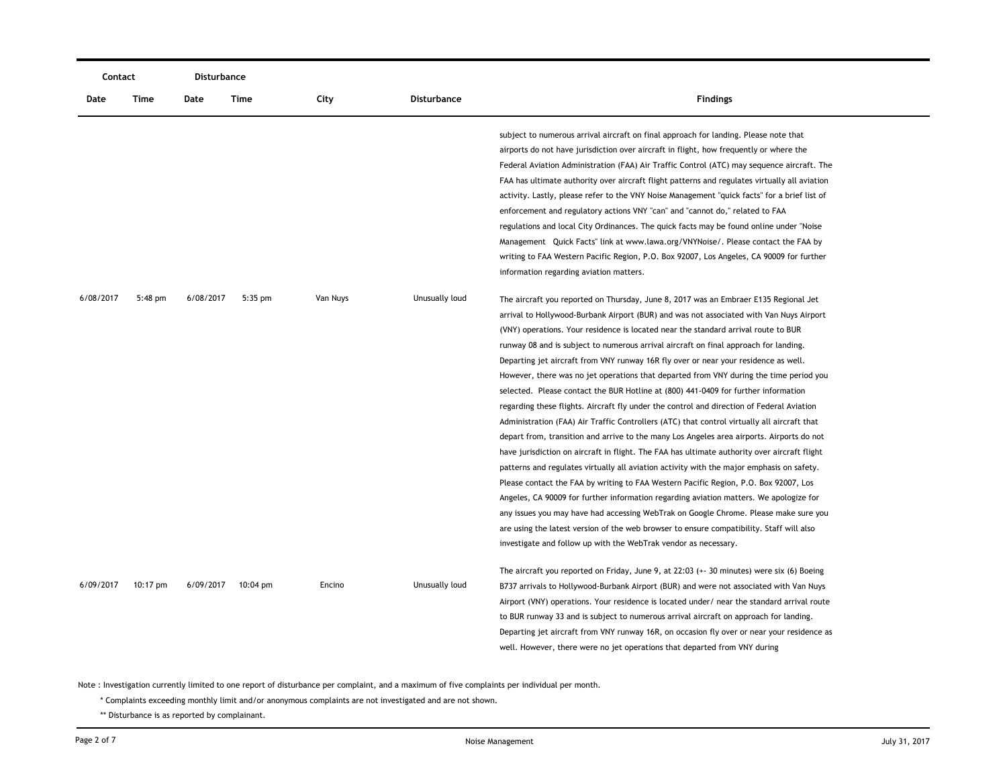| Contact   |           | Disturbance |                    |          |                    |                                                                                                                                                                                                                                                                                                                                                                                                                                                                                                                                                                                                                                                                                                                                                                                                                                                                                                                                                                                                                                                                                                                                                                                                                                                                                                                                                                                                                                                                                                                                                                     |  |
|-----------|-----------|-------------|--------------------|----------|--------------------|---------------------------------------------------------------------------------------------------------------------------------------------------------------------------------------------------------------------------------------------------------------------------------------------------------------------------------------------------------------------------------------------------------------------------------------------------------------------------------------------------------------------------------------------------------------------------------------------------------------------------------------------------------------------------------------------------------------------------------------------------------------------------------------------------------------------------------------------------------------------------------------------------------------------------------------------------------------------------------------------------------------------------------------------------------------------------------------------------------------------------------------------------------------------------------------------------------------------------------------------------------------------------------------------------------------------------------------------------------------------------------------------------------------------------------------------------------------------------------------------------------------------------------------------------------------------|--|
| Date      | Time      | Date        | Time               | City     | <b>Disturbance</b> | <b>Findings</b>                                                                                                                                                                                                                                                                                                                                                                                                                                                                                                                                                                                                                                                                                                                                                                                                                                                                                                                                                                                                                                                                                                                                                                                                                                                                                                                                                                                                                                                                                                                                                     |  |
|           |           |             |                    |          |                    | subject to numerous arrival aircraft on final approach for landing. Please note that<br>airports do not have jurisdiction over aircraft in flight, how frequently or where the<br>Federal Aviation Administration (FAA) Air Traffic Control (ATC) may sequence aircraft. The<br>FAA has ultimate authority over aircraft flight patterns and regulates virtually all aviation<br>activity. Lastly, please refer to the VNY Noise Management "quick facts" for a brief list of<br>enforcement and regulatory actions VNY "can" and "cannot do," related to FAA<br>regulations and local City Ordinances. The quick facts may be found online under "Noise<br>Management Quick Facts" link at www.lawa.org/VNYNoise/. Please contact the FAA by<br>writing to FAA Western Pacific Region, P.O. Box 92007, Los Angeles, CA 90009 for further<br>information regarding aviation matters.                                                                                                                                                                                                                                                                                                                                                                                                                                                                                                                                                                                                                                                                                |  |
| 6/08/2017 | $5:48$ pm | 6/08/2017   | $5:35$ pm          | Van Nuys | Unusually loud     | The aircraft you reported on Thursday, June 8, 2017 was an Embraer E135 Regional Jet<br>arrival to Hollywood-Burbank Airport (BUR) and was not associated with Van Nuys Airport<br>(VNY) operations. Your residence is located near the standard arrival route to BUR<br>runway 08 and is subject to numerous arrival aircraft on final approach for landing.<br>Departing jet aircraft from VNY runway 16R fly over or near your residence as well.<br>However, there was no jet operations that departed from VNY during the time period you<br>selected. Please contact the BUR Hotline at (800) 441-0409 for further information<br>regarding these flights. Aircraft fly under the control and direction of Federal Aviation<br>Administration (FAA) Air Traffic Controllers (ATC) that control virtually all aircraft that<br>depart from, transition and arrive to the many Los Angeles area airports. Airports do not<br>have jurisdiction on aircraft in flight. The FAA has ultimate authority over aircraft flight<br>patterns and regulates virtually all aviation activity with the major emphasis on safety.<br>Please contact the FAA by writing to FAA Western Pacific Region, P.O. Box 92007, Los<br>Angeles, CA 90009 for further information regarding aviation matters. We apologize for<br>any issues you may have had accessing WebTrak on Google Chrome. Please make sure you<br>are using the latest version of the web browser to ensure compatibility. Staff will also<br>investigate and follow up with the WebTrak vendor as necessary. |  |
| 6/09/2017 | 10:17 pm  | 6/09/2017   | $10:04 \text{ pm}$ | Encino   | Unusually loud     | The aircraft you reported on Friday, June 9, at 22:03 (+- 30 minutes) were six (6) Boeing<br>B737 arrivals to Hollywood-Burbank Airport (BUR) and were not associated with Van Nuys<br>Airport (VNY) operations. Your residence is located under/ near the standard arrival route<br>to BUR runway 33 and is subject to numerous arrival aircraft on approach for landing.<br>Departing jet aircraft from VNY runway 16R, on occasion fly over or near your residence as<br>well. However, there were no jet operations that departed from VNY during                                                                                                                                                                                                                                                                                                                                                                                                                                                                                                                                                                                                                                                                                                                                                                                                                                                                                                                                                                                                               |  |

\* Complaints exceeding monthly limit and/or anonymous complaints are not investigated and are not shown.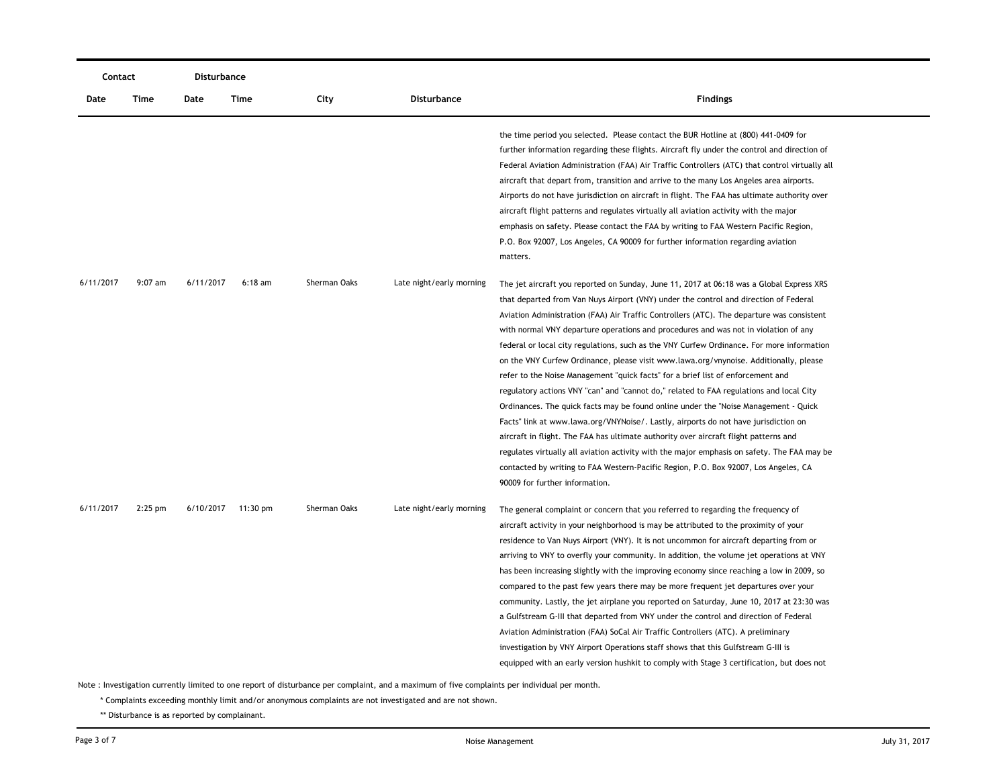| Contact   |             | Disturbance |           |              |                          |                                                                                                                                                                                                                                                                                                                                                                                                                                                                                                                                                                                                                                                                                                                                                                                                                                                                                                                                                                                                                                                                                                                                                                                                                                        |
|-----------|-------------|-------------|-----------|--------------|--------------------------|----------------------------------------------------------------------------------------------------------------------------------------------------------------------------------------------------------------------------------------------------------------------------------------------------------------------------------------------------------------------------------------------------------------------------------------------------------------------------------------------------------------------------------------------------------------------------------------------------------------------------------------------------------------------------------------------------------------------------------------------------------------------------------------------------------------------------------------------------------------------------------------------------------------------------------------------------------------------------------------------------------------------------------------------------------------------------------------------------------------------------------------------------------------------------------------------------------------------------------------|
| Date      | <b>Time</b> | Date        | Time      | City         | <b>Disturbance</b>       | <b>Findings</b>                                                                                                                                                                                                                                                                                                                                                                                                                                                                                                                                                                                                                                                                                                                                                                                                                                                                                                                                                                                                                                                                                                                                                                                                                        |
|           |             |             |           |              |                          | the time period you selected. Please contact the BUR Hotline at (800) 441-0409 for<br>further information regarding these flights. Aircraft fly under the control and direction of<br>Federal Aviation Administration (FAA) Air Traffic Controllers (ATC) that control virtually all<br>aircraft that depart from, transition and arrive to the many Los Angeles area airports.<br>Airports do not have jurisdiction on aircraft in flight. The FAA has ultimate authority over<br>aircraft flight patterns and regulates virtually all aviation activity with the major<br>emphasis on safety. Please contact the FAA by writing to FAA Western Pacific Region,<br>P.O. Box 92007, Los Angeles, CA 90009 for further information regarding aviation<br>matters.                                                                                                                                                                                                                                                                                                                                                                                                                                                                       |
| 6/11/2017 | $9:07$ am   | 6/11/2017   | $6:18$ am | Sherman Oaks | Late night/early morning | The jet aircraft you reported on Sunday, June 11, 2017 at 06:18 was a Global Express XRS<br>that departed from Van Nuys Airport (VNY) under the control and direction of Federal<br>Aviation Administration (FAA) Air Traffic Controllers (ATC). The departure was consistent<br>with normal VNY departure operations and procedures and was not in violation of any<br>federal or local city regulations, such as the VNY Curfew Ordinance. For more information<br>on the VNY Curfew Ordinance, please visit www.lawa.org/vnynoise. Additionally, please<br>refer to the Noise Management "quick facts" for a brief list of enforcement and<br>regulatory actions VNY "can" and "cannot do," related to FAA regulations and local City<br>Ordinances. The quick facts may be found online under the "Noise Management - Quick<br>Facts" link at www.lawa.org/VNYNoise/. Lastly, airports do not have jurisdiction on<br>aircraft in flight. The FAA has ultimate authority over aircraft flight patterns and<br>regulates virtually all aviation activity with the major emphasis on safety. The FAA may be<br>contacted by writing to FAA Western-Pacific Region, P.O. Box 92007, Los Angeles, CA<br>90009 for further information. |
| 6/11/2017 | $2:25$ pm   | 6/10/2017   | 11:30 pm  | Sherman Oaks | Late night/early morning | The general complaint or concern that you referred to regarding the frequency of<br>aircraft activity in your neighborhood is may be attributed to the proximity of your<br>residence to Van Nuys Airport (VNY). It is not uncommon for aircraft departing from or<br>arriving to VNY to overfly your community. In addition, the volume jet operations at VNY<br>has been increasing slightly with the improving economy since reaching a low in 2009, so<br>compared to the past few years there may be more frequent jet departures over your<br>community. Lastly, the jet airplane you reported on Saturday, June 10, 2017 at 23:30 was<br>a Gulfstream G-III that departed from VNY under the control and direction of Federal<br>Aviation Administration (FAA) SoCal Air Traffic Controllers (ATC). A preliminary<br>investigation by VNY Airport Operations staff shows that this Gulfstream G-III is<br>equipped with an early version hushkit to comply with Stage 3 certification, but does not                                                                                                                                                                                                                             |

\* Complaints exceeding monthly limit and/or anonymous complaints are not investigated and are not shown.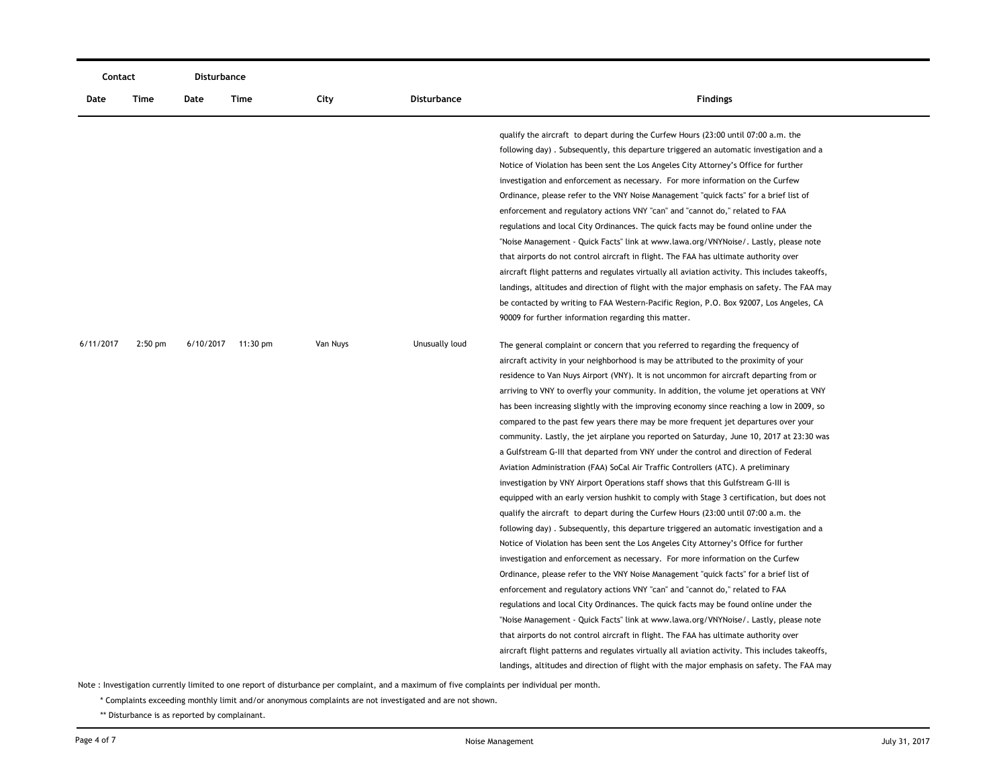| Contact   |           | <b>Disturbance</b> |                    |          |                    |                                                                                                                                                                                                                                                                       |
|-----------|-----------|--------------------|--------------------|----------|--------------------|-----------------------------------------------------------------------------------------------------------------------------------------------------------------------------------------------------------------------------------------------------------------------|
| Date      | Time      | Date               | Time               | City     | <b>Disturbance</b> | <b>Findings</b>                                                                                                                                                                                                                                                       |
|           |           |                    |                    |          |                    | qualify the aircraft to depart during the Curfew Hours (23:00 until 07:00 a.m. the<br>following day). Subsequently, this departure triggered an automatic investigation and a<br>Notice of Violation has been sent the Los Angeles City Attorney's Office for further |
|           |           |                    |                    |          |                    | investigation and enforcement as necessary. For more information on the Curfew                                                                                                                                                                                        |
|           |           |                    |                    |          |                    | Ordinance, please refer to the VNY Noise Management "quick facts" for a brief list of                                                                                                                                                                                 |
|           |           |                    |                    |          |                    | enforcement and regulatory actions VNY "can" and "cannot do," related to FAA                                                                                                                                                                                          |
|           |           |                    |                    |          |                    | regulations and local City Ordinances. The quick facts may be found online under the                                                                                                                                                                                  |
|           |           |                    |                    |          |                    | "Noise Management - Quick Facts" link at www.lawa.org/VNYNoise/. Lastly, please note                                                                                                                                                                                  |
|           |           |                    |                    |          |                    | that airports do not control aircraft in flight. The FAA has ultimate authority over                                                                                                                                                                                  |
|           |           |                    |                    |          |                    | aircraft flight patterns and regulates virtually all aviation activity. This includes takeoffs,                                                                                                                                                                       |
|           |           |                    |                    |          |                    | landings, altitudes and direction of flight with the major emphasis on safety. The FAA may                                                                                                                                                                            |
|           |           |                    |                    |          |                    | be contacted by writing to FAA Western-Pacific Region, P.O. Box 92007, Los Angeles, CA<br>90009 for further information regarding this matter.                                                                                                                        |
|           |           |                    |                    |          |                    |                                                                                                                                                                                                                                                                       |
| 6/11/2017 | $2:50$ pm |                    | 6/10/2017 11:30 pm | Van Nuys | Unusually loud     | The general complaint or concern that you referred to regarding the frequency of                                                                                                                                                                                      |
|           |           |                    |                    |          |                    | aircraft activity in your neighborhood is may be attributed to the proximity of your                                                                                                                                                                                  |
|           |           |                    |                    |          |                    | residence to Van Nuys Airport (VNY). It is not uncommon for aircraft departing from or                                                                                                                                                                                |
|           |           |                    |                    |          |                    | arriving to VNY to overfly your community. In addition, the volume jet operations at VNY                                                                                                                                                                              |
|           |           |                    |                    |          |                    | has been increasing slightly with the improving economy since reaching a low in 2009, so                                                                                                                                                                              |
|           |           |                    |                    |          |                    | compared to the past few years there may be more frequent jet departures over your                                                                                                                                                                                    |
|           |           |                    |                    |          |                    | community. Lastly, the jet airplane you reported on Saturday, June 10, 2017 at 23:30 was                                                                                                                                                                              |
|           |           |                    |                    |          |                    | a Gulfstream G-III that departed from VNY under the control and direction of Federal                                                                                                                                                                                  |
|           |           |                    |                    |          |                    | Aviation Administration (FAA) SoCal Air Traffic Controllers (ATC). A preliminary                                                                                                                                                                                      |
|           |           |                    |                    |          |                    | investigation by VNY Airport Operations staff shows that this Gulfstream G-III is                                                                                                                                                                                     |
|           |           |                    |                    |          |                    | equipped with an early version hushkit to comply with Stage 3 certification, but does not                                                                                                                                                                             |
|           |           |                    |                    |          |                    | qualify the aircraft to depart during the Curfew Hours (23:00 until 07:00 a.m. the                                                                                                                                                                                    |
|           |           |                    |                    |          |                    | following day). Subsequently, this departure triggered an automatic investigation and a                                                                                                                                                                               |
|           |           |                    |                    |          |                    | Notice of Violation has been sent the Los Angeles City Attorney's Office for further                                                                                                                                                                                  |
|           |           |                    |                    |          |                    | investigation and enforcement as necessary. For more information on the Curfew                                                                                                                                                                                        |
|           |           |                    |                    |          |                    | Ordinance, please refer to the VNY Noise Management "quick facts" for a brief list of                                                                                                                                                                                 |
|           |           |                    |                    |          |                    | enforcement and regulatory actions VNY "can" and "cannot do," related to FAA                                                                                                                                                                                          |
|           |           |                    |                    |          |                    | regulations and local City Ordinances. The quick facts may be found online under the                                                                                                                                                                                  |
|           |           |                    |                    |          |                    | "Noise Management - Quick Facts" link at www.lawa.org/VNYNoise/. Lastly, please note                                                                                                                                                                                  |
|           |           |                    |                    |          |                    | that airports do not control aircraft in flight. The FAA has ultimate authority over                                                                                                                                                                                  |
|           |           |                    |                    |          |                    | aircraft flight patterns and regulates virtually all aviation activity. This includes takeoffs,                                                                                                                                                                       |
|           |           |                    |                    |          |                    | landings, altitudes and direction of flight with the major emphasis on safety. The FAA may                                                                                                                                                                            |

\* Complaints exceeding monthly limit and/or anonymous complaints are not investigated and are not shown.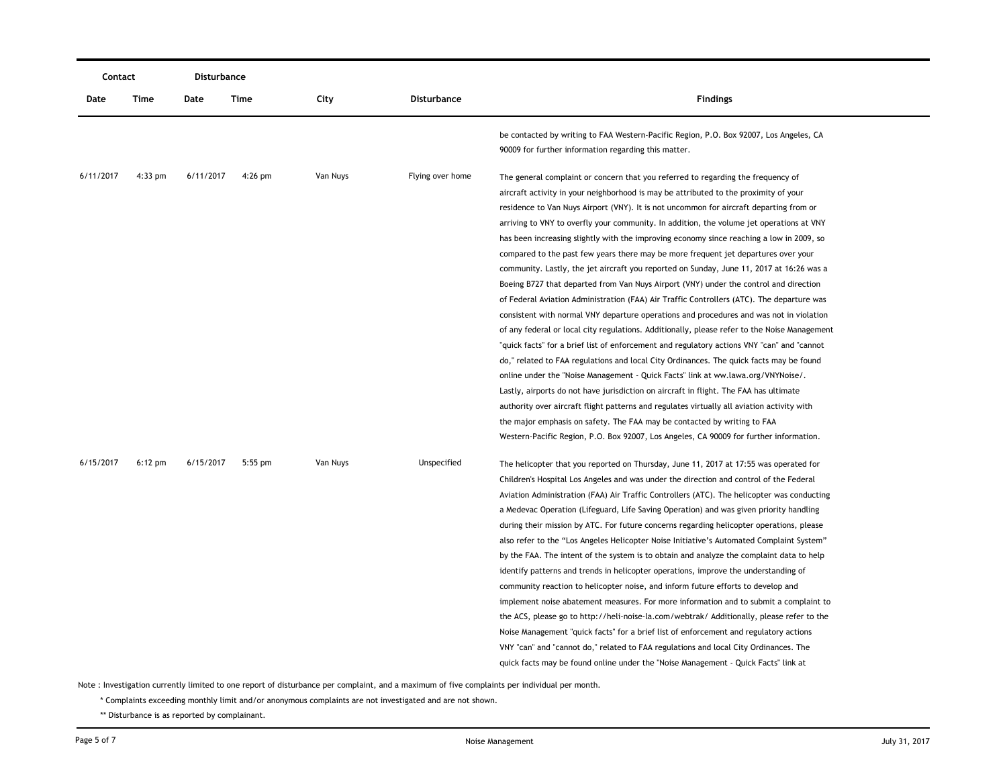| Contact   |           | Disturbance |           |          |                  |                                                                                                                                                                                                                                                                                                                                                                                                                                                                                                                                                                                                                                                                                                                                                                                                                                                                                                                                                                                                                                                                                                                                                                                                                                                                                                                                                                                                                                                                                                                                                                                                                                                                         |
|-----------|-----------|-------------|-----------|----------|------------------|-------------------------------------------------------------------------------------------------------------------------------------------------------------------------------------------------------------------------------------------------------------------------------------------------------------------------------------------------------------------------------------------------------------------------------------------------------------------------------------------------------------------------------------------------------------------------------------------------------------------------------------------------------------------------------------------------------------------------------------------------------------------------------------------------------------------------------------------------------------------------------------------------------------------------------------------------------------------------------------------------------------------------------------------------------------------------------------------------------------------------------------------------------------------------------------------------------------------------------------------------------------------------------------------------------------------------------------------------------------------------------------------------------------------------------------------------------------------------------------------------------------------------------------------------------------------------------------------------------------------------------------------------------------------------|
| Date      | Time      | Date        | Time      | City     | Disturbance      | <b>Findings</b>                                                                                                                                                                                                                                                                                                                                                                                                                                                                                                                                                                                                                                                                                                                                                                                                                                                                                                                                                                                                                                                                                                                                                                                                                                                                                                                                                                                                                                                                                                                                                                                                                                                         |
|           |           |             |           |          |                  | be contacted by writing to FAA Western-Pacific Region, P.O. Box 92007, Los Angeles, CA<br>90009 for further information regarding this matter.                                                                                                                                                                                                                                                                                                                                                                                                                                                                                                                                                                                                                                                                                                                                                                                                                                                                                                                                                                                                                                                                                                                                                                                                                                                                                                                                                                                                                                                                                                                          |
| 6/11/2017 | $4:33$ pm | 6/11/2017   | $4:26$ pm | Van Nuys | Flying over home | The general complaint or concern that you referred to regarding the frequency of<br>aircraft activity in your neighborhood is may be attributed to the proximity of your<br>residence to Van Nuys Airport (VNY). It is not uncommon for aircraft departing from or<br>arriving to VNY to overfly your community. In addition, the volume jet operations at VNY<br>has been increasing slightly with the improving economy since reaching a low in 2009, so<br>compared to the past few years there may be more frequent jet departures over your<br>community. Lastly, the jet aircraft you reported on Sunday, June 11, 2017 at 16:26 was a<br>Boeing B727 that departed from Van Nuys Airport (VNY) under the control and direction<br>of Federal Aviation Administration (FAA) Air Traffic Controllers (ATC). The departure was<br>consistent with normal VNY departure operations and procedures and was not in violation<br>of any federal or local city regulations. Additionally, please refer to the Noise Management<br>"quick facts" for a brief list of enforcement and regulatory actions VNY "can" and "cannot<br>do," related to FAA regulations and local City Ordinances. The quick facts may be found<br>online under the "Noise Management - Quick Facts" link at ww.lawa.org/VNYNoise/.<br>Lastly, airports do not have jurisdiction on aircraft in flight. The FAA has ultimate<br>authority over aircraft flight patterns and regulates virtually all aviation activity with<br>the major emphasis on safety. The FAA may be contacted by writing to FAA<br>Western-Pacific Region, P.O. Box 92007, Los Angeles, CA 90009 for further information. |
| 6/15/2017 | $6:12$ pm | 6/15/2017   | $5:55$ pm | Van Nuys | Unspecified      | The helicopter that you reported on Thursday, June 11, 2017 at 17:55 was operated for<br>Children's Hospital Los Angeles and was under the direction and control of the Federal<br>Aviation Administration (FAA) Air Traffic Controllers (ATC). The helicopter was conducting<br>a Medevac Operation (Lifeguard, Life Saving Operation) and was given priority handling<br>during their mission by ATC. For future concerns regarding helicopter operations, please<br>also refer to the "Los Angeles Helicopter Noise Initiative's Automated Complaint System"<br>by the FAA. The intent of the system is to obtain and analyze the complaint data to help<br>identify patterns and trends in helicopter operations, improve the understanding of<br>community reaction to helicopter noise, and inform future efforts to develop and<br>implement noise abatement measures. For more information and to submit a complaint to<br>the ACS, please go to http://heli-noise-la.com/webtrak/ Additionally, please refer to the<br>Noise Management "quick facts" for a brief list of enforcement and regulatory actions<br>VNY "can" and "cannot do," related to FAA regulations and local City Ordinances. The<br>quick facts may be found online under the "Noise Management - Quick Facts" link at                                                                                                                                                                                                                                                                                                                                                                     |

\* Complaints exceeding monthly limit and/or anonymous complaints are not investigated and are not shown.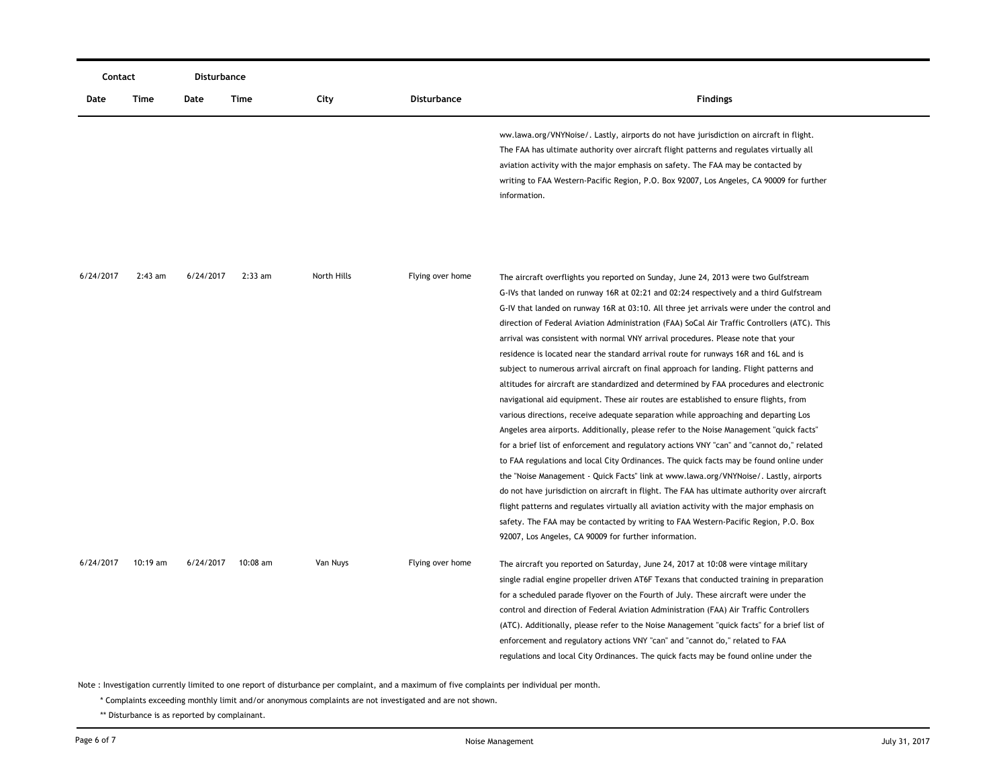| Contact   |            | Disturbance |           |             |                    |                                                                                                                                                                                                                                                                                                                                                                                                                                                          |
|-----------|------------|-------------|-----------|-------------|--------------------|----------------------------------------------------------------------------------------------------------------------------------------------------------------------------------------------------------------------------------------------------------------------------------------------------------------------------------------------------------------------------------------------------------------------------------------------------------|
| Date      | Time       | Date        | Time      | City        | <b>Disturbance</b> | <b>Findings</b>                                                                                                                                                                                                                                                                                                                                                                                                                                          |
|           |            |             |           |             |                    | ww.lawa.org/VNYNoise/. Lastly, airports do not have jurisdiction on aircraft in flight.<br>The FAA has ultimate authority over aircraft flight patterns and regulates virtually all<br>aviation activity with the major emphasis on safety. The FAA may be contacted by<br>writing to FAA Western-Pacific Region, P.O. Box 92007, Los Angeles, CA 90009 for further<br>information.                                                                      |
| 6/24/2017 | $2:43$ am  | 6/24/2017   | $2:33$ am | North Hills | Flying over home   | The aircraft overflights you reported on Sunday, June 24, 2013 were two Gulfstream<br>G-IVs that landed on runway 16R at 02:21 and 02:24 respectively and a third Gulfstream                                                                                                                                                                                                                                                                             |
|           |            |             |           |             |                    | G-IV that landed on runway 16R at 03:10. All three jet arrivals were under the control and<br>direction of Federal Aviation Administration (FAA) SoCal Air Traffic Controllers (ATC). This<br>arrival was consistent with normal VNY arrival procedures. Please note that your                                                                                                                                                                           |
|           |            |             |           |             |                    | residence is located near the standard arrival route for runways 16R and 16L and is<br>subject to numerous arrival aircraft on final approach for landing. Flight patterns and<br>altitudes for aircraft are standardized and determined by FAA procedures and electronic                                                                                                                                                                                |
|           |            |             |           |             |                    | navigational aid equipment. These air routes are established to ensure flights, from<br>various directions, receive adequate separation while approaching and departing Los<br>Angeles area airports. Additionally, please refer to the Noise Management "quick facts"                                                                                                                                                                                   |
|           |            |             |           |             |                    | for a brief list of enforcement and regulatory actions VNY "can" and "cannot do," related<br>to FAA regulations and local City Ordinances. The quick facts may be found online under                                                                                                                                                                                                                                                                     |
|           |            |             |           |             |                    | the "Noise Management - Quick Facts" link at www.lawa.org/VNYNoise/. Lastly, airports<br>do not have jurisdiction on aircraft in flight. The FAA has ultimate authority over aircraft<br>flight patterns and regulates virtually all aviation activity with the major emphasis on<br>safety. The FAA may be contacted by writing to FAA Western-Pacific Region, P.O. Box                                                                                 |
| 6/24/2017 | $10:19$ am | 6/24/2017   | 10:08 am  | Van Nuys    | Flying over home   | 92007, Los Angeles, CA 90009 for further information.<br>The aircraft you reported on Saturday, June 24, 2017 at 10:08 were vintage military                                                                                                                                                                                                                                                                                                             |
|           |            |             |           |             |                    | single radial engine propeller driven AT6F Texans that conducted training in preparation<br>for a scheduled parade flyover on the Fourth of July. These aircraft were under the<br>control and direction of Federal Aviation Administration (FAA) Air Traffic Controllers<br>(ATC). Additionally, please refer to the Noise Management "quick facts" for a brief list of<br>enforcement and regulatory actions VNY "can" and "cannot do," related to FAA |
|           |            |             |           |             |                    | regulations and local City Ordinances. The quick facts may be found online under the                                                                                                                                                                                                                                                                                                                                                                     |

\* Complaints exceeding monthly limit and/or anonymous complaints are not investigated and are not shown.